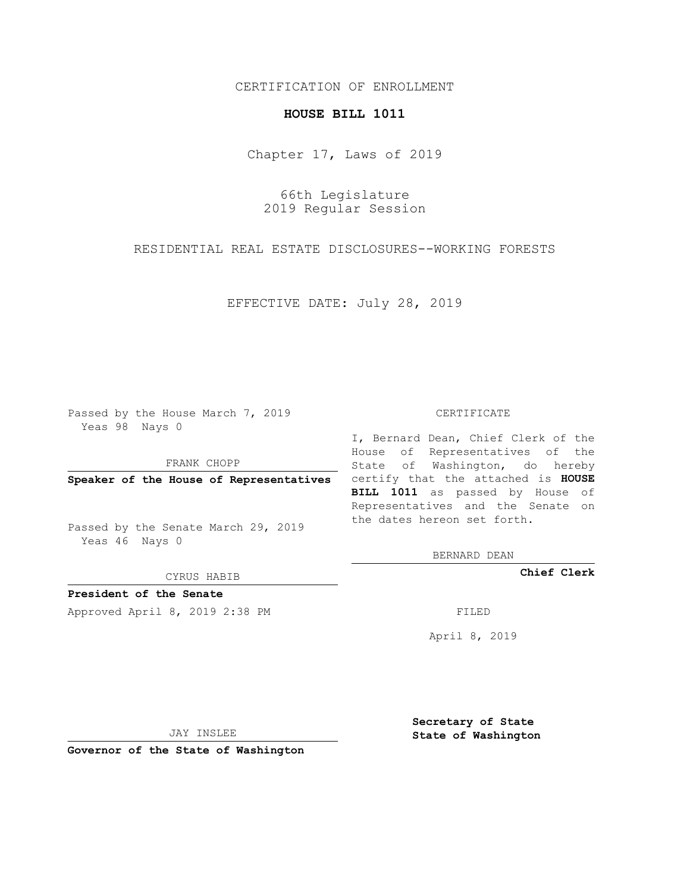## CERTIFICATION OF ENROLLMENT

## **HOUSE BILL 1011**

Chapter 17, Laws of 2019

66th Legislature 2019 Regular Session

RESIDENTIAL REAL ESTATE DISCLOSURES--WORKING FORESTS

EFFECTIVE DATE: July 28, 2019

Passed by the House March 7, 2019 Yeas 98 Nays 0

FRANK CHOPP

Passed by the Senate March 29, 2019 Yeas 46 Nays 0

CYRUS HABIB

**President of the Senate**

Approved April 8, 2019 2:38 PM FILED

## CERTIFICATE

**Speaker of the House of Representatives** certify that the attached is **HOUSE** I, Bernard Dean, Chief Clerk of the House of Representatives of the State of Washington, do hereby **BILL 1011** as passed by House of Representatives and the Senate on the dates hereon set forth.

BERNARD DEAN

**Chief Clerk**

April 8, 2019

JAY INSLEE

**Governor of the State of Washington**

**Secretary of State State of Washington**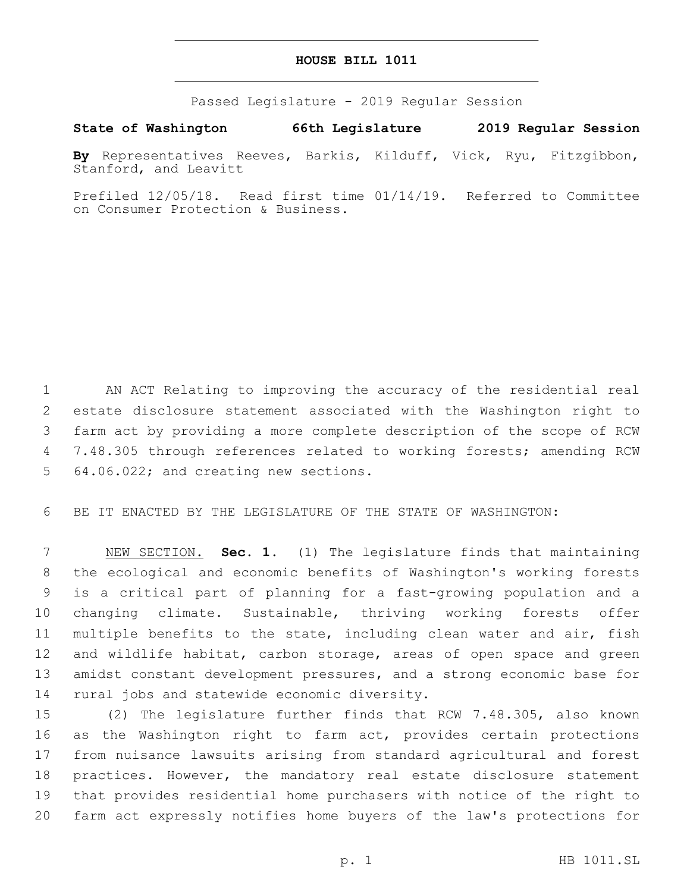## **HOUSE BILL 1011**

Passed Legislature - 2019 Regular Session

**State of Washington 66th Legislature 2019 Regular Session**

**By** Representatives Reeves, Barkis, Kilduff, Vick, Ryu, Fitzgibbon, Stanford, and Leavitt

Prefiled 12/05/18. Read first time 01/14/19. Referred to Committee on Consumer Protection & Business.

 AN ACT Relating to improving the accuracy of the residential real estate disclosure statement associated with the Washington right to farm act by providing a more complete description of the scope of RCW 7.48.305 through references related to working forests; amending RCW 5 64.06.022; and creating new sections.

BE IT ENACTED BY THE LEGISLATURE OF THE STATE OF WASHINGTON:

 NEW SECTION. **Sec. 1.** (1) The legislature finds that maintaining the ecological and economic benefits of Washington's working forests is a critical part of planning for a fast-growing population and a changing climate. Sustainable, thriving working forests offer multiple benefits to the state, including clean water and air, fish and wildlife habitat, carbon storage, areas of open space and green amidst constant development pressures, and a strong economic base for rural jobs and statewide economic diversity.

 (2) The legislature further finds that RCW 7.48.305, also known 16 as the Washington right to farm act, provides certain protections from nuisance lawsuits arising from standard agricultural and forest practices. However, the mandatory real estate disclosure statement that provides residential home purchasers with notice of the right to farm act expressly notifies home buyers of the law's protections for